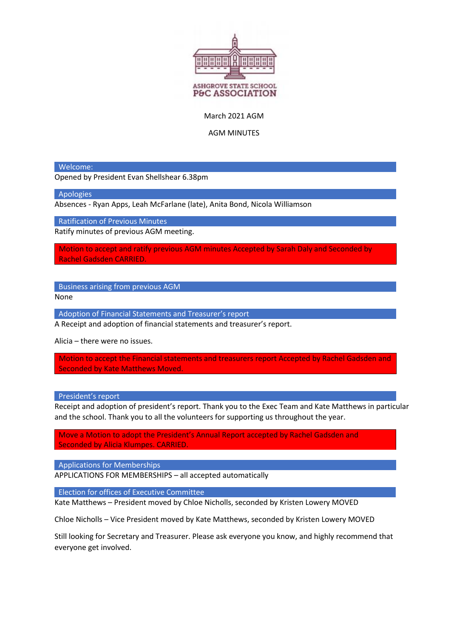

March 2021 AGM

AGM MINUTES

Welcome:

Opened by President Evan Shellshear 6.38pm

**Apologies** 

Absences - Ryan Apps, Leah McFarlane (late), Anita Bond, Nicola Williamson

Ratification of Previous Minutes

Ratify minutes of previous AGM meeting.

Motion to accept and ratify previous AGM minutes Accepted by Sarah Daly and Seconded by Rachel Gadsden CARRIED.

Business arising from previous AGM

None

Adoption of Financial Statements and Treasurer's report

A Receipt and adoption of financial statements and treasurer's report.

Alicia – there were no issues.

Motion to accept the Financial statements and treasurers report Accepted by Rachel Gadsden and Seconded by Kate Matthews Moved.

President's report

Receipt and adoption of president's report. Thank you to the Exec Team and Kate Matthews in particular and the school. Thank you to all the volunteers for supporting us throughout the year.

Move a Motion to adopt the President's Annual Report accepted by Rachel Gadsden and Seconded by Alicia Klumpes. CARRIED.

Applications for Memberships

APPLICATIONS FOR MEMBERSHIPS – all accepted automatically

Election for offices of Executive Committee

Kate Matthews – President moved by Chloe Nicholls, seconded by Kristen Lowery MOVED

Chloe Nicholls – Vice President moved by Kate Matthews, seconded by Kristen Lowery MOVED

Still looking for Secretary and Treasurer. Please ask everyone you know, and highly recommend that everyone get involved.